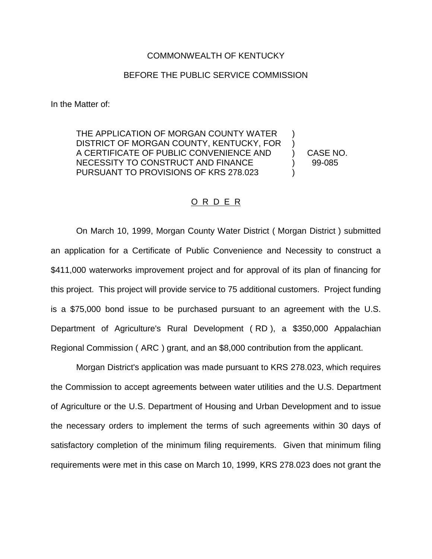## COMMONWEALTH OF KENTUCKY

## BEFORE THE PUBLIC SERVICE COMMISSION

In the Matter of:

THE APPLICATION OF MORGAN COUNTY WATER DISTRICT OF MORGAN COUNTY, KENTUCKY, FOR ) A CERTIFICATE OF PUBLIC CONVENIENCE AND ) CASE NO. NECESSITY TO CONSTRUCT AND FINANCE  $\qquad \qquad$  99-085 PURSUANT TO PROVISIONS OF KRS 278.023 )

## O R D E R

On March 10, 1999, Morgan County Water District ( Morgan District ) submitted an application for a Certificate of Public Convenience and Necessity to construct a \$411,000 waterworks improvement project and for approval of its plan of financing for this project. This project will provide service to 75 additional customers. Project funding is a \$75,000 bond issue to be purchased pursuant to an agreement with the U.S. Department of Agriculture's Rural Development ( RD ), a \$350,000 Appalachian Regional Commission ( ARC ) grant, and an \$8,000 contribution from the applicant.

Morgan District's application was made pursuant to KRS 278.023, which requires the Commission to accept agreements between water utilities and the U.S. Department of Agriculture or the U.S. Department of Housing and Urban Development and to issue the necessary orders to implement the terms of such agreements within 30 days of satisfactory completion of the minimum filing requirements. Given that minimum filing requirements were met in this case on March 10, 1999, KRS 278.023 does not grant the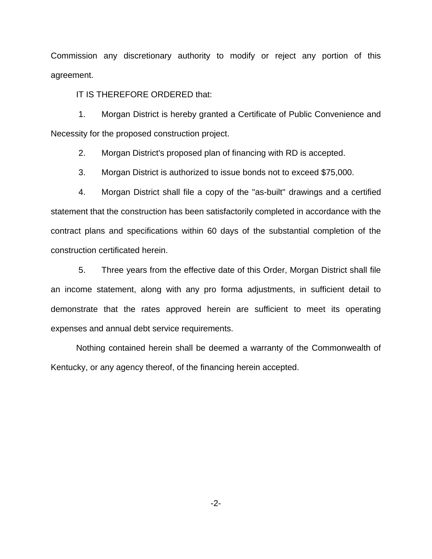Commission any discretionary authority to modify or reject any portion of this agreement.

IT IS THEREFORE ORDERED that:

1. Morgan District is hereby granted a Certificate of Public Convenience and Necessity for the proposed construction project.

2. Morgan District's proposed plan of financing with RD is accepted.

3. Morgan District is authorized to issue bonds not to exceed \$75,000.

4. Morgan District shall file a copy of the "as-built" drawings and a certified statement that the construction has been satisfactorily completed in accordance with the contract plans and specifications within 60 days of the substantial completion of the construction certificated herein.

5. Three years from the effective date of this Order, Morgan District shall file an income statement, along with any pro forma adjustments, in sufficient detail to demonstrate that the rates approved herein are sufficient to meet its operating expenses and annual debt service requirements.

Nothing contained herein shall be deemed a warranty of the Commonwealth of Kentucky, or any agency thereof, of the financing herein accepted.

-2-